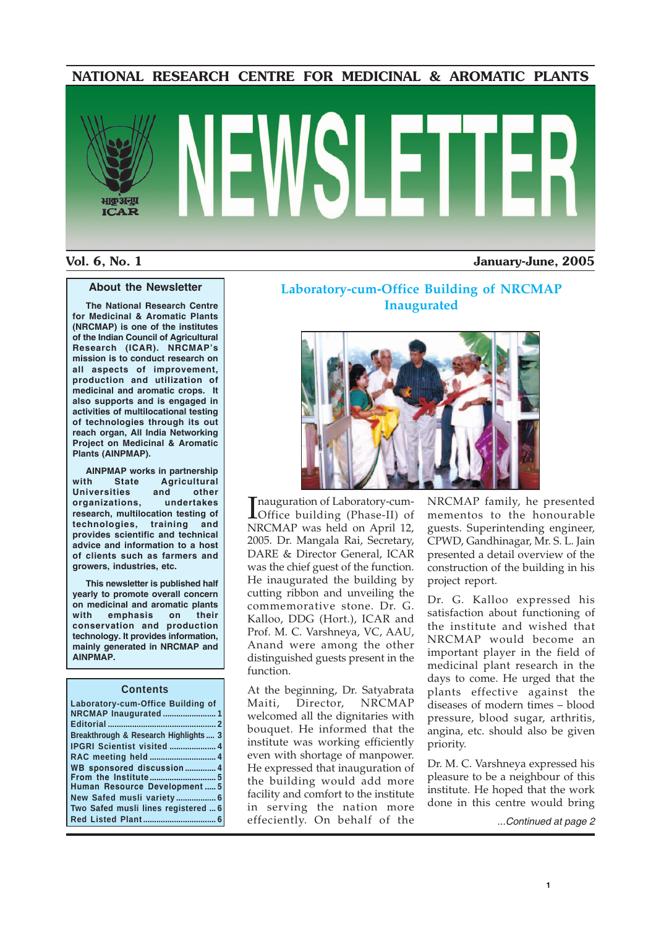#### **NATIONAL RESEARCH CENTRE FOR MEDICINAL & AROMATIC PLANTS**

# भाकअनप **ICAR**

#### **Vol. 6, No. 1 January-June, 2005**

#### **About the Newsletter**

**The National Research Centre for Medicinal & Aromatic Plants (NRCMAP) is one of the institutes of the Indian Council of Agricultural Research (ICAR). NRCMAP's mission is to conduct research on all aspects of improvement, production and utilization of medicinal and aromatic crops. It also supports and is engaged in activities of multilocational testing of technologies through its out reach organ, All India Networking Project on Medicinal & Aromatic Plants (AINPMAP).**

**AINPMAP works in partnership with State Agricultural Universities and other organizations, undertakes research, multilocation testing of technologies, training and provides scientific and technical advice and information to a host of clients such as farmers and growers, industries, etc.**

**This newsletter is published half yearly to promote overall concern on medicinal and aromatic plants with emphasis on their conservation and production technology. It provides information, mainly generated in NRCMAP and AINPMAP.**

#### **Contents**

| Laboratory-cum-Office Building of     |
|---------------------------------------|
|                                       |
| Breakthrough & Research Highlights  3 |
| <b>IPGRI Scientist visited  4</b>     |
|                                       |
| WB sponsored discussion 4             |
|                                       |
| Human Resource Development 5          |
|                                       |
| Two Safed musli lines registered  6   |
|                                       |
|                                       |

#### **Laboratory-cum-Office Building of NRCMAP Inaugurated**



Inauguration of Laboratory-cum-<br>
Office building (Phase-II) of Office building (Phase-II) of NRCMAP was held on April 12, 2005. Dr. Mangala Rai, Secretary, DARE & Director General, ICAR was the chief guest of the function. He inaugurated the building by cutting ribbon and unveiling the commemorative stone. Dr. G. Kalloo, DDG (Hort.), ICAR and Prof. M. C. Varshneya, VC, AAU, Anand were among the other distinguished guests present in the function.

At the beginning, Dr. Satyabrata Maiti, Director, NRCMAP welcomed all the dignitaries with bouquet. He informed that the institute was working efficiently even with shortage of manpower. He expressed that inauguration of the building would add more facility and comfort to the institute in serving the nation more effeciently. On behalf of the

NRCMAP family, he presented mementos to the honourable guests. Superintending engineer, CPWD, Gandhinagar, Mr. S. L. Jain presented a detail overview of the construction of the building in his project report.

Dr. G. Kalloo expressed his satisfaction about functioning of the institute and wished that NRCMAP would become an important player in the field of medicinal plant research in the days to come. He urged that the plants effective against the diseases of modern times – blood pressure, blood sugar, arthritis, angina, etc. should also be given priority.

Dr. M. C. Varshneya expressed his pleasure to be a neighbour of this institute. He hoped that the work done in this centre would bring

*...Continued at page 2*

**1**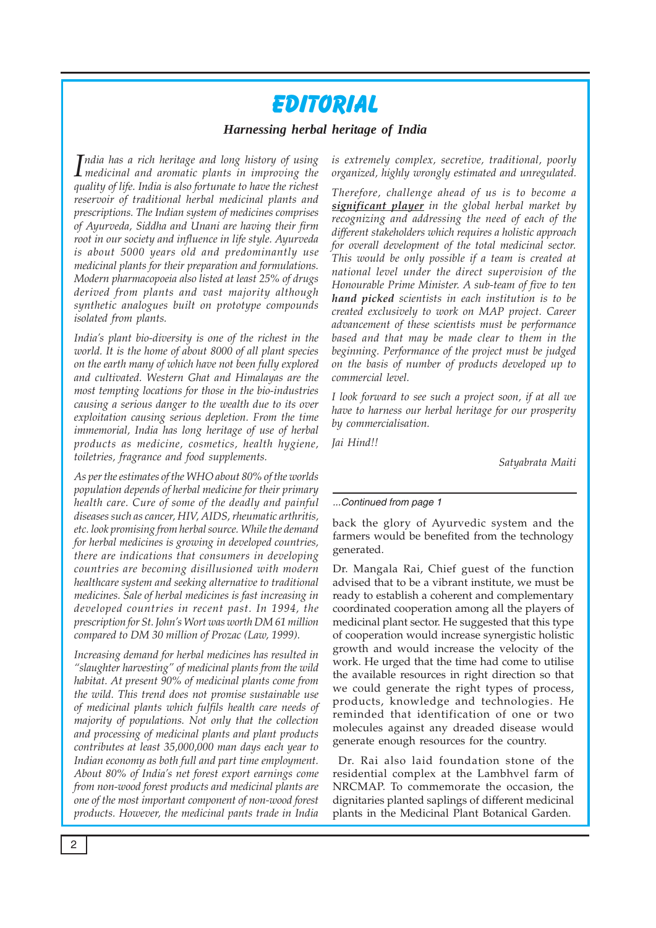### Editorial

#### *Harnessing herbal heritage of India*

*I medicinal and aromatic plants in improving the ndia has a rich heritage and long history of using quality of life. India is also fortunate to have the richest reservoir of traditional herbal medicinal plants and prescriptions. The Indian system of medicines comprises of Ayurveda, Siddha and Unani are having their firm root in our society and influence in life style. Ayurveda is about 5000 years old and predominantly use medicinal plants for their preparation and formulations. Modern pharmacopoeia also listed at least 25% of drugs derived from plants and vast majority although synthetic analogues built on prototype compounds isolated from plants.*

*India's plant bio-diversity is one of the richest in the world. It is the home of about 8000 of all plant species on the earth many of which have not been fully explored and cultivated. Western Ghat and Himalayas are the most tempting locations for those in the bio-industries causing a serious danger to the wealth due to its over exploitation causing serious depletion. From the time immemorial, India has long heritage of use of herbal products as medicine, cosmetics, health hygiene, toiletries, fragrance and food supplements.*

*As per the estimates of the WHO about 80% of the worlds population depends of herbal medicine for their primary health care. Cure of some of the deadly and painful diseases such as cancer, HIV, AIDS, rheumatic arthritis, etc. look promising from herbal source. While the demand for herbal medicines is growing in developed countries, there are indications that consumers in developing countries are becoming disillusioned with modern healthcare system and seeking alternative to traditional medicines. Sale of herbal medicines is fast increasing in developed countries in recent past. In 1994, the prescription for St. John's Wort was worth DM 61 million compared to DM 30 million of Prozac (Law, 1999).*

*Increasing demand for herbal medicines has resulted in "slaughter harvesting" of medicinal plants from the wild habitat. At present 90% of medicinal plants come from the wild. This trend does not promise sustainable use of medicinal plants which fulfils health care needs of majority of populations. Not only that the collection and processing of medicinal plants and plant products contributes at least 35,000,000 man days each year to Indian economy as both full and part time employment. About 80% of India's net forest export earnings come from non-wood forest products and medicinal plants are one of the most important component of non-wood forest products. However, the medicinal pants trade in India*

*is extremely complex, secretive, traditional, poorly organized, highly wrongly estimated and unregulated.*

*Therefore, challenge ahead of us is to become a significant player in the global herbal market by recognizing and addressing the need of each of the different stakeholders which requires a holistic approach for overall development of the total medicinal sector. This would be only possible if a team is created at national level under the direct supervision of the Honourable Prime Minister. A sub-team of five to ten hand picked scientists in each institution is to be created exclusively to work on MAP project. Career advancement of these scientists must be performance based and that may be made clear to them in the beginning. Performance of the project must be judged on the basis of number of products developed up to commercial level.*

*I look forward to see such a project soon, if at all we have to harness our herbal heritage for our prosperity by commercialisation.*

*Jai Hind!!*

*Satyabrata Maiti*

#### *...Continued from page 1*

back the glory of Ayurvedic system and the farmers would be benefited from the technology generated.

Dr. Mangala Rai, Chief guest of the function advised that to be a vibrant institute, we must be ready to establish a coherent and complementary coordinated cooperation among all the players of medicinal plant sector. He suggested that this type of cooperation would increase synergistic holistic growth and would increase the velocity of the work. He urged that the time had come to utilise the available resources in right direction so that we could generate the right types of process, products, knowledge and technologies. He reminded that identification of one or two molecules against any dreaded disease would generate enough resources for the country.

 Dr. Rai also laid foundation stone of the residential complex at the Lambhvel farm of NRCMAP. To commemorate the occasion, the dignitaries planted saplings of different medicinal plants in the Medicinal Plant Botanical Garden.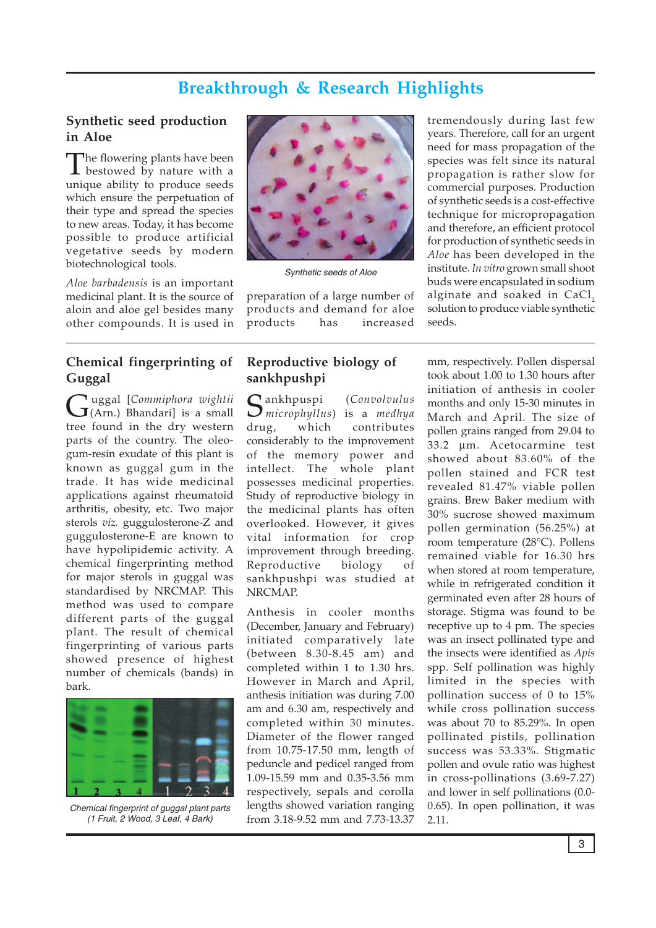#### **Breakthrough & Research Highlights**

#### **Synthetic seed production in Aloe**

The flowering plants have been bestowed by nature with a unique ability to produce seeds which ensure the perpetuation of their type and spread the species to new areas. Today, it has become possible to produce artificial vegetative seeds by modern biotechnological tools.

*Aloe barbadensis* is an important medicinal plant. It is the source of aloin and aloe gel besides many other compounds. It is used in

#### **Chemical fingerprinting of Guggal**

Guggal [*Commiphora wightii* (Arn.) Bhandari] is a small tree found in the dry western parts of the country. The oleogum-resin exudate of this plant is known as guggal gum in the trade. It has wide medicinal applications against rheumatoid arthritis, obesity, etc. Two major sterols *viz.* guggulosterone-Z and guggulosterone-E are known to have hypolipidemic activity. A chemical fingerprinting method for major sterols in guggal was standardised by NRCMAP. This method was used to compare different parts of the guggal plant. The result of chemical fingerprinting of various parts showed presence of highest number of chemicals (bands) in bark.



*Chemical fingerprint of guggal plant parts (1 Fruit, 2 Wood, 3 Leaf, 4 Bark)*



*Synthetic seeds of Aloe*

preparation of a large number of products and demand for aloe products has increased

#### **Reproductive biology of sankhpushpi**

Sankhpuspi (*Convolvulus microphyllus*) is a *medhya* drug, which contributes considerably to the improvement of the memory power and intellect. The whole plant possesses medicinal properties. Study of reproductive biology in the medicinal plants has often overlooked. However, it gives vital information for crop improvement through breeding. Reproductive biology of sankhpushpi was studied at NRCMAP.

Anthesis in cooler months (December, January and February) initiated comparatively late (between 8.30-8.45 am) and completed within 1 to 1.30 hrs. However in March and April, anthesis initiation was during 7.00 am and 6.30 am, respectively and completed within 30 minutes. Diameter of the flower ranged from 10.75-17.50 mm, length of peduncle and pedicel ranged from 1.09-15.59 mm and 0.35-3.56 mm respectively, sepals and corolla lengths showed variation ranging from 3.18-9.52 mm and 7.73-13.37

tremendously during last few years. Therefore, call for an urgent need for mass propagation of the species was felt since its natural propagation is rather slow for commercial purposes. Production of synthetic seeds is a cost-effective technique for micropropagation and therefore, an efficient protocol for production of synthetic seeds in *Aloe* has been developed in the institute. *In vitro* grown small shoot buds were encapsulated in sodium alginate and soaked in CaCl<sub>2</sub> solution to produce viable synthetic seeds.

mm, respectively. Pollen dispersal took about 1.00 to 1.30 hours after initiation of anthesis in cooler months and only 15-30 minutes in March and April. The size of pollen grains ranged from 29.04 to 33.2 µm. Acetocarmine test showed about 83.60% of the pollen stained and FCR test revealed 81.47% viable pollen grains. Brew Baker medium with 30% sucrose showed maximum pollen germination (56.25%) at room temperature (28°C). Pollens remained viable for 16.30 hrs when stored at room temperature, while in refrigerated condition it germinated even after 28 hours of storage. Stigma was found to be receptive up to 4 pm. The species was an insect pollinated type and the insects were identified as *Apis* spp. Self pollination was highly limited in the species with pollination success of 0 to 15% while cross pollination success was about 70 to 85.29%. In open pollinated pistils, pollination success was 53.33%. Stigmatic pollen and ovule ratio was highest in cross-pollinations (3.69-7.27) and lower in self pollinations (0.0- 0.65). In open pollination, it was 2.11.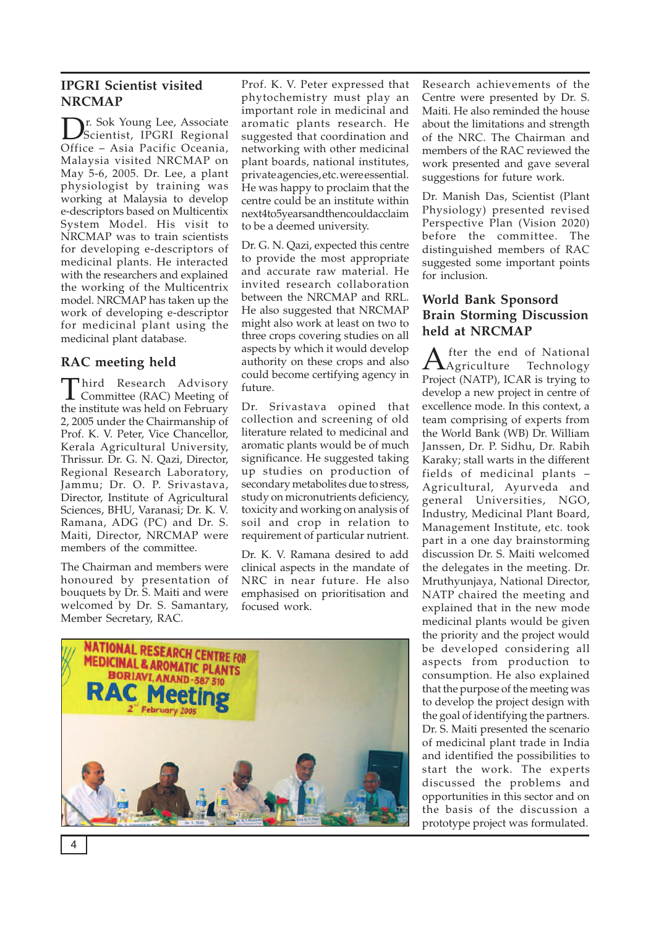#### **IPGRI Scientist visited NRCMAP**

Dr. Sok Young Lee, Associate Scientist, IPGRI Regional Office – Asia Pacific Oceania, Malaysia visited NRCMAP on May 5-6, 2005. Dr. Lee, a plant physiologist by training was working at Malaysia to develop e-descriptors based on Multicentix System Model. His visit to NRCMAP was to train scientists for developing e-descriptors of medicinal plants. He interacted with the researchers and explained the working of the Multicentrix model. NRCMAP has taken up the work of developing e-descriptor for medicinal plant using the medicinal plant database.

#### **RAC meeting held**

Third Research Advisory Committee (RAC) Meeting of the institute was held on February 2, 2005 under the Chairmanship of Prof. K. V. Peter, Vice Chancellor, Kerala Agricultural University, Thrissur. Dr. G. N. Qazi, Director, Regional Research Laboratory, Jammu; Dr. O. P. Srivastava, Director, Institute of Agricultural Sciences, BHU, Varanasi; Dr. K. V. Ramana, ADG (PC) and Dr. S. Maiti, Director, NRCMAP were members of the committee.

The Chairman and members were honoured by presentation of bouquets by Dr. S. Maiti and were welcomed by Dr. S. Samantary, Member Secretary, RAC.

Prof. K. V. Peter expressed that phytochemistry must play an important role in medicinal and aromatic plants research. He suggested that coordination and networking with other medicinal plant boards, national institutes, private agencies, etc. were essential. He was happy to proclaim that the centre could be an institute within next4to5 years and then could acclaim to be a deemed university.

Dr. G. N. Qazi, expected this centre to provide the most appropriate and accurate raw material. He invited research collaboration between the NRCMAP and RRL. He also suggested that NRCMAP might also work at least on two to three crops covering studies on all aspects by which it would develop authority on these crops and also could become certifying agency in future.

Dr. Srivastava opined that collection and screening of old literature related to medicinal and aromatic plants would be of much significance. He suggested taking up studies on production of secondary metabolites due to stress, study on micronutrients deficiency, toxicity and working on analysis of soil and crop in relation to requirement of particular nutrient.

Dr. K. V. Ramana desired to add clinical aspects in the mandate of NRC in near future. He also emphasised on prioritisation and focused work.



Research achievements of the Centre were presented by Dr. S. Maiti. He also reminded the house about the limitations and strength of the NRC. The Chairman and members of the RAC reviewed the work presented and gave several suggestions for future work.

Dr. Manish Das, Scientist (Plant Physiology) presented revised Perspective Plan (Vision 2020) before the committee. The distinguished members of RAC suggested some important points for inclusion.

#### **World Bank Sponsord Brain Storming Discussion held at NRCMAP**

After the end of National<br>
Register that the Technology Project (NATP), ICAR is trying to develop a new project in centre of excellence mode. In this context, a team comprising of experts from the World Bank (WB) Dr. William Janssen, Dr. P. Sidhu, Dr. Rabih Karaky; stall warts in the different fields of medicinal plants – Agricultural, Ayurveda and general Universities, NGO, Industry, Medicinal Plant Board, Management Institute, etc. took part in a one day brainstorming discussion Dr. S. Maiti welcomed the delegates in the meeting. Dr. Mruthyunjaya, National Director, NATP chaired the meeting and explained that in the new mode medicinal plants would be given the priority and the project would be developed considering all aspects from production to consumption. He also explained that the purpose of the meeting was to develop the project design with the goal of identifying the partners. Dr. S. Maiti presented the scenario of medicinal plant trade in India and identified the possibilities to start the work. The experts discussed the problems and opportunities in this sector and on the basis of the discussion a prototype project was formulated.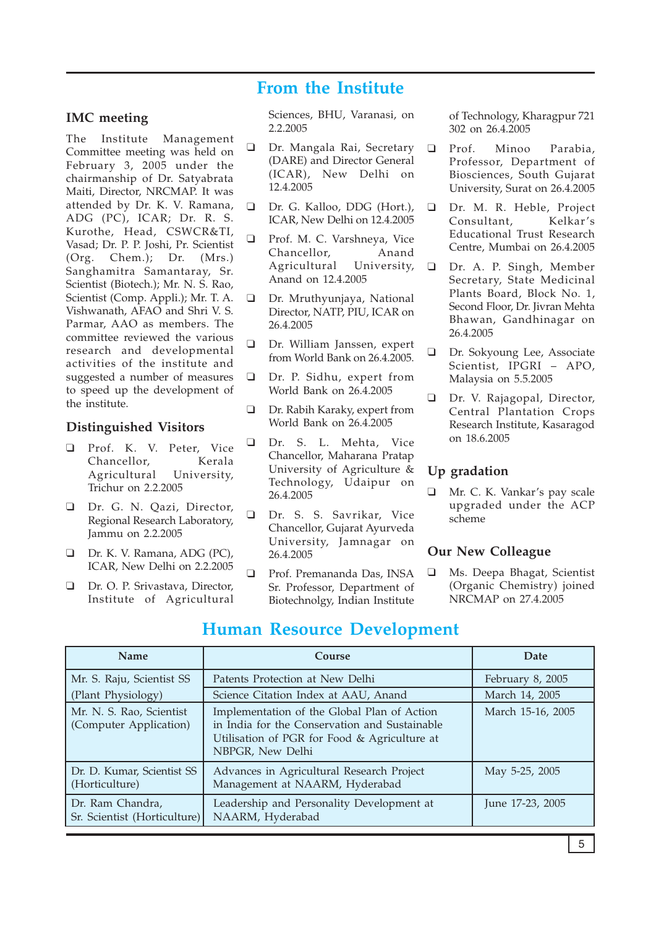#### **From the Institute**

#### **IMC meeting**

The Institute Management Committee meeting was held on February 3, 2005 under the chairmanship of Dr. Satyabrata Maiti, Director, NRCMAP. It was attended by Dr. K. V. Ramana, ADG (PC), ICAR; Dr. R. S. Kurothe, Head, CSWCR&TI, Vasad; Dr. P. P. Joshi, Pr. Scientist (Org. Chem.); Dr. (Mrs.) Sanghamitra Samantaray, Sr. Scientist (Biotech.); Mr. N. S. Rao, Scientist (Comp. Appli.); Mr. T. A. Vishwanath, AFAO and Shri V. S. Parmar, AAO as members. The committee reviewed the various research and developmental activities of the institute and suggested a number of measures to speed up the development of the institute.

#### **Distinguished Visitors**

- ❑ Prof. K. V. Peter, Vice Chancellor, Kerala Agricultural University, Trichur on 2.2.2005
- ❑ Dr. G. N. Qazi, Director, Regional Research Laboratory, Jammu on 2.2.2005
- ❑ Dr. K. V. Ramana, ADG (PC), ICAR, New Delhi on 2.2.2005
- ❑ Dr. O. P. Srivastava, Director, Institute of Agricultural

Sciences, BHU, Varanasi, on 2.2.2005

- ❑ Dr. Mangala Rai, Secretary (DARE) and Director General (ICAR), New Delhi on 12.4.2005
- ❑ Dr. G. Kalloo, DDG (Hort.), ICAR, New Delhi on 12.4.2005
- ❑ Prof. M. C. Varshneya, Vice Chancellor, Anand Agricultural University, Anand on 12.4.2005
- ❑ Dr. Mruthyunjaya, National Director, NATP, PIU, ICAR on 26.4.2005
- ❑ Dr. William Janssen, expert from World Bank on 26.4.2005.
- ❑ Dr. P. Sidhu, expert from World Bank on 26.4.2005
- ❑ Dr. Rabih Karaky, expert from World Bank on 26.4.2005
- ❑ Dr. S. L. Mehta, Vice Chancellor, Maharana Pratap University of Agriculture & Technology, Udaipur on 26.4.2005
- ❑ Dr. S. S. Savrikar, Vice Chancellor, Gujarat Ayurveda University, Jamnagar on 26.4.2005
- ❑ Prof. Premananda Das, INSA Sr. Professor, Department of Biotechnolgy, Indian Institute

of Technology, Kharagpur 721 302 on 26.4.2005

- ❑ Prof. Minoo Parabia, Professor, Department of Biosciences, South Gujarat University, Surat on 26.4.2005
- ❑ Dr. M. R. Heble, Project Consultant, Kelkar's Educational Trust Research Centre, Mumbai on 26.4.2005
- ❑ Dr. A. P. Singh, Member Secretary, State Medicinal Plants Board, Block No. 1, Second Floor, Dr. Jivran Mehta Bhawan, Gandhinagar on 26.4.2005
- ❑ Dr. Sokyoung Lee, Associate Scientist, IPGRI – APO, Malaysia on 5.5.2005
- ❑ Dr. V. Rajagopal, Director, Central Plantation Crops Research Institute, Kasaragod on 18.6.2005

#### **Up gradation**

❑ Mr. C. K. Vankar's pay scale upgraded under the ACP scheme

#### **Our New Colleague**

❑ Ms. Deepa Bhagat, Scientist (Organic Chemistry) joined NRCMAP on 27.4.2005

| <b>Name</b>                                        | Course                                                                                                                                                           | Date              |
|----------------------------------------------------|------------------------------------------------------------------------------------------------------------------------------------------------------------------|-------------------|
| Mr. S. Raju, Scientist SS                          | Patents Protection at New Delhi                                                                                                                                  | February 8, 2005  |
| (Plant Physiology)                                 | Science Citation Index at AAU, Anand                                                                                                                             | March 14, 2005    |
| Mr. N. S. Rao, Scientist<br>(Computer Application) | Implementation of the Global Plan of Action<br>in India for the Conservation and Sustainable<br>Utilisation of PGR for Food & Agriculture at<br>NBPGR, New Delhi | March 15-16, 2005 |
| Dr. D. Kumar, Scientist SS<br>(Horticulture)       | Advances in Agricultural Research Project<br>Management at NAARM, Hyderabad                                                                                      | May 5-25, 2005    |
| Dr. Ram Chandra,<br>Sr. Scientist (Horticulture)   | Leadership and Personality Development at<br>NAARM, Hyderabad                                                                                                    | June 17-23, 2005  |

#### **Human Resource Development**